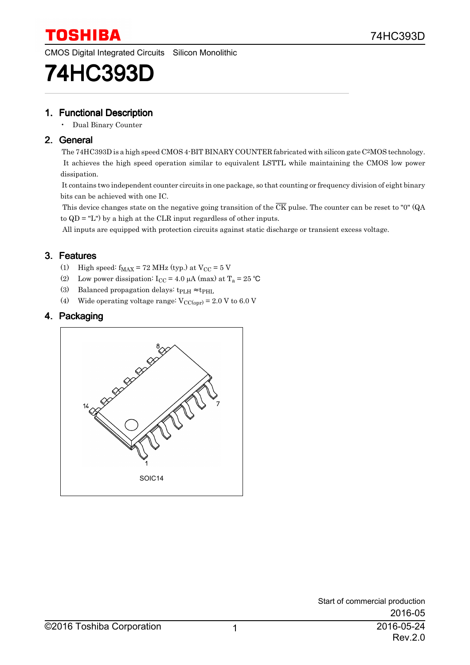CMOS Digital Integrated Circuits Silicon Monolithic

# 74HC393D

### 1. Functional Description

• Dual Binary Counter

### 2. General

 The 74HC393D is a high speed CMOS 4-BIT BINARY COUNTER fabricated with silicon gate C 2MOS technology. It achieves the high speed operation similar to equivalent LSTTL while maintaining the CMOS low power dissipation.

 It contains two independent counter circuits in one package, so that counting or frequency division of eight binary bits can be achieved with one IC.

This device changes state on the negative going transition of the  $\overline{CK}$  pulse. The counter can be reset to "0" (QA) to QD = "L") by a high at the CLR input regardless of other inputs.

All inputs are equipped with protection circuits against static discharge or transient excess voltage.

### 3. Features

- (1) High speed:  $f_{MAX} = 72 MHz$  (typ.) at  $V_{CC} = 5 V$
- (2) Low power dissipation:  $I_{CC} = 4.0 \mu A \text{ (max)}$  at  $T_a = 25 \text{ °C}$
- (3) Balanced propagation delays:  $t_{\rm PLH} \approx t_{\rm PHL}$
- (4) Wide operating voltage range:  $V_{\text{CC(opr)}} = 2.0 V$  to 6.0 V

### 4. Packaging

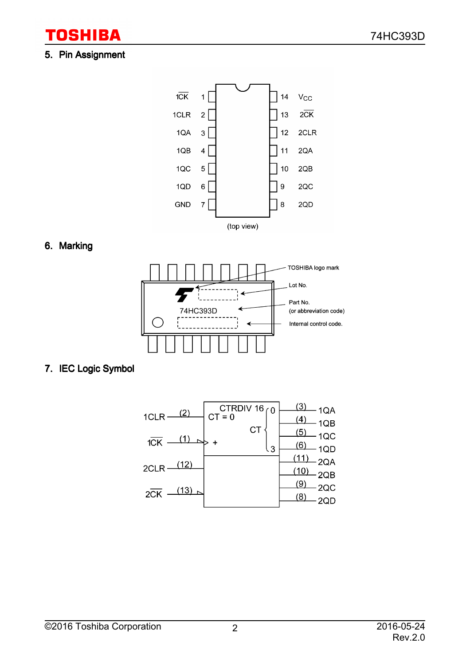# 5. Pin Assignment

**TOSHIBA** 



# 6. Marking



# 7. IEC Logic Symbol

| 1CLR<br>$1\overline{CK}$                        | CTRDIV 16 $\begin{bmatrix} 0 \\ C \end{bmatrix}$<br>СT | <u>(3)</u><br>1QA<br>΄4<br>1QB<br>5)<br>1QC<br>6) |
|-------------------------------------------------|--------------------------------------------------------|---------------------------------------------------|
| <u>(12)</u><br>2CLR<br>(13)<br>$2\overline{CK}$ | 3                                                      | IQD<br>2QA<br>2QB<br>9<br>2QC                     |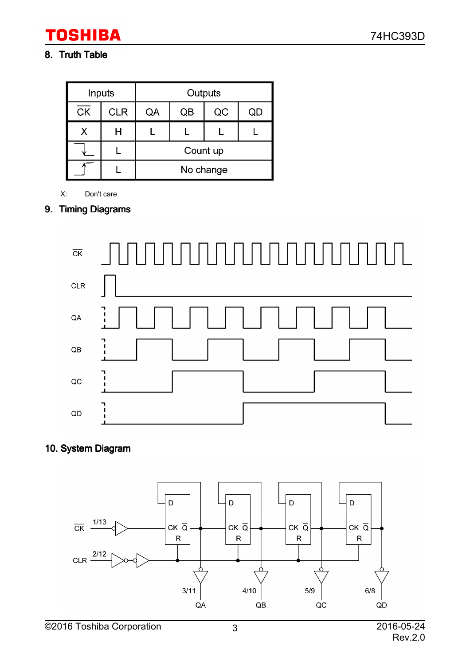# **TOSHIBA**

# 8. Truth Table

|                        | Inputs     |    | Outputs  |           |    |
|------------------------|------------|----|----------|-----------|----|
| $\overline{\text{CK}}$ | <b>CLR</b> | QA | QB       | QC        | QD |
| Х                      |            |    |          |           |    |
|                        |            |    | Count up |           |    |
|                        |            |    |          | No change |    |

X: Don't care

## 9. Timing Diagrams



# 10. System Diagram

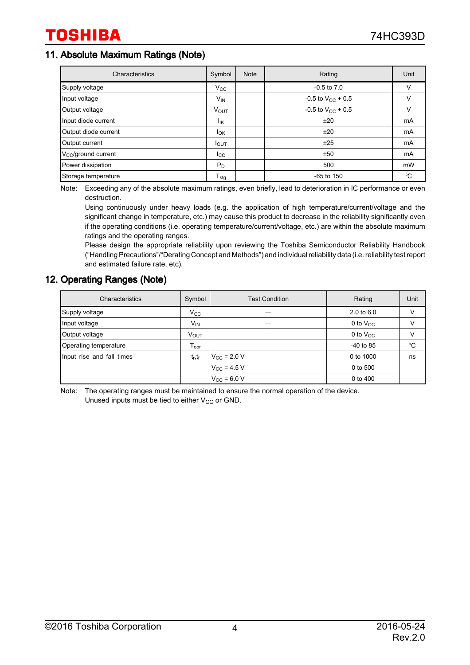### 11. Absolute Maximum Ratings (Note)

| Characteristics                 | Symbol                 | <b>Note</b> | Rating                   | Unit |
|---------------------------------|------------------------|-------------|--------------------------|------|
| Supply voltage                  | $V_{\rm CC}$           |             | $-0.5$ to $7.0$          | V    |
| Input voltage                   | $V_{IN}$               |             | $-0.5$ to $V_{CC}$ + 0.5 |      |
| Output voltage                  | <b>VOUT</b>            |             | $-0.5$ to $V_{CC}$ + 0.5 |      |
| Input diode current             | lικ                    |             | ±20                      | mA   |
| Output diode current            | <b>I</b> <sub>OK</sub> |             | ±20                      | mA   |
| Output current                  | $I_{OUT}$              |             | ±25                      | mA   |
| V <sub>CC</sub> /ground current | $_{\rm{lcc}}$          |             | ±50                      | mA   |
| Power dissipation               | $P_D$                  |             | 500                      | mW   |
| Storage temperature             | $T_{\text{stg}}$       |             | $-65$ to 150             | °C   |

Note: Exceeding any of the absolute maximum ratings, even briefly, lead to deterioration in IC performance or even destruction.

Using continuously under heavy loads (e.g. the application of high temperature/current/voltage and the significant change in temperature, etc.) may cause this product to decrease in the reliability significantly even if the operating conditions (i.e. operating temperature/current/voltage, etc.) are within the absolute maximum ratings and the operating ranges.

Please design the appropriate reliability upon reviewing the Toshiba Semiconductor Reliability Handbook ("Handling Precautions"/"Derating Concept and Methods") and individual reliability data (i.e. reliability test report and estimated failure rate, etc).

### 12. Operating Ranges (Note)

| Characteristics           | Symbol                       | <b>Test Condition</b>   | Rating                | Unit |
|---------------------------|------------------------------|-------------------------|-----------------------|------|
| Supply voltage            | $V_{\rm CC}$                 |                         | $2.0 \text{ to } 6.0$ | v    |
| Input voltage             | $V_{\mathsf{IN}}$            |                         | 0 to $V_{CC}$         | V    |
| Output voltage            | V <sub>OUT</sub>             |                         | 0 to $V_{CC}$         | v    |
| Operating temperature     | ${\mathsf T}_{\mathsf{opr}}$ |                         | $-40$ to 85           | °C   |
| Input rise and fall times | $t_r, t_f$                   | $V_{\text{CC}}$ = 2.0 V | 0 to 1000             | ns   |
|                           |                              | $V_{\text{CC}}$ = 4.5 V | 0 to 500              |      |
|                           |                              | $V_{\text{CC}}$ = 6.0 V | 0 to 400              |      |

Note: The operating ranges must be maintained to ensure the normal operation of the device. Unused inputs must be tied to either  $V_{CC}$  or GND.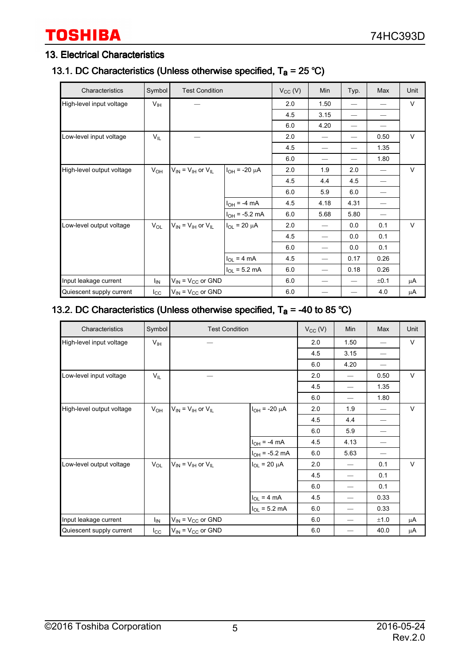# **TOSHIBA**

### 13. Electrical Characteristics

## 13.1. DC Characteristics (Unless otherwise specified,  $T_a = 25 \degree C$ )

| Characteristics           | Symbol          | <b>Test Condition</b>           |                          | $V_{CC} (V)$ | Min  | Typ. | Max  | Unit   |
|---------------------------|-----------------|---------------------------------|--------------------------|--------------|------|------|------|--------|
| High-level input voltage  | $V_{\text{IH}}$ |                                 |                          | 2.0          | 1.50 |      |      | V      |
|                           |                 |                                 |                          | 4.5          | 3.15 |      |      |        |
|                           |                 |                                 |                          | 6.0          | 4.20 | —    |      |        |
| Low-level input voltage   | $V_{IL}$        |                                 |                          | 2.0          |      |      | 0.50 | V      |
|                           |                 |                                 |                          | 4.5          |      | —    | 1.35 |        |
|                           |                 |                                 |                          | 6.0          |      |      | 1.80 |        |
| High-level output voltage | $V_{OH}$        | $V_{IN} = V_{IH}$ or $V_{IL}$   | I <sub>OH</sub> = -20 μA | 2.0          | 1.9  | 2.0  |      | $\vee$ |
|                           |                 |                                 |                          | 4.5          | 4.4  | 4.5  |      |        |
|                           |                 |                                 |                          | 6.0          | 5.9  | 6.0  |      |        |
|                           |                 |                                 | $I_{OH} = -4 mA$         | 4.5          | 4.18 | 4.31 |      |        |
|                           |                 |                                 | $I_{OH} = -5.2$ mA       | 6.0          | 5.68 | 5.80 |      |        |
| Low-level output voltage  | $V_{OL}$        | $V_{IN}$ = $V_{IH}$ or $V_{IL}$ | $I_{OL}$ = 20 µA         | 2.0          |      | 0.0  | 0.1  | $\vee$ |
|                           |                 |                                 |                          | 4.5          |      | 0.0  | 0.1  |        |
|                           |                 |                                 |                          | 6.0          |      | 0.0  | 0.1  |        |
|                           |                 |                                 | $I_{OL}$ = 4 mA          | 4.5          |      | 0.17 | 0.26 |        |
|                           |                 |                                 | $I_{OL} = 5.2$ mA        | 6.0          |      | 0.18 | 0.26 |        |
| Input leakage current     | ΙM              | $V_{IN}$ = $V_{CC}$ or GND      |                          | 6.0          |      | —    | ±0.1 | μA     |
| Quiescent supply current  | $I_{\rm CC}$    | $V_{IN}$ = $V_{CC}$ or GND      |                          | 6.0          |      |      | 4.0  | μA     |

## 13.2. DC Characteristics (Unless otherwise specified,  $T_a = -40$  to 85 °C)

| Characteristics           | Symbol          | <b>Test Condition</b>         |                        | $V_{CC} (V)$ | Min                      | Max  | Unit   |
|---------------------------|-----------------|-------------------------------|------------------------|--------------|--------------------------|------|--------|
| High-level input voltage  | $V_{\text{IH}}$ |                               |                        | 2.0          | 1.50                     |      | V      |
|                           |                 |                               |                        | 4.5          | 3.15                     |      |        |
|                           |                 |                               |                        | 6.0          | 4.20                     |      |        |
| Low-level input voltage   | $V_{IL}$        |                               |                        | 2.0          |                          | 0.50 | $\vee$ |
|                           |                 |                               |                        | 4.5          | $\overline{\phantom{0}}$ | 1.35 |        |
|                           |                 |                               |                        | 6.0          | $\overline{\phantom{0}}$ | 1.80 |        |
| High-level output voltage | $V_{OH}$        | $V_{IN} = V_{IH}$ or $V_{IL}$ | $I_{OH}$ = -20 $\mu$ A | 2.0          | 1.9                      |      | $\vee$ |
|                           |                 |                               |                        | 4.5          | 4.4                      |      |        |
|                           |                 |                               |                        | 6.0          | 5.9                      |      |        |
|                           |                 |                               | $I_{OH}$ = -4 mA       | 4.5          | 4.13                     |      |        |
|                           |                 |                               | $I_{OH}$ = -5.2 mA     | 6.0          | 5.63                     |      |        |
| Low-level output voltage  | $V_{OL}$        | $V_{IN} = V_{IH}$ or $V_{IL}$ | $I_{OL}$ = 20 $\mu$ A  | 2.0          | —                        | 0.1  | $\vee$ |
|                           |                 |                               |                        | 4.5          | —                        | 0.1  |        |
|                           |                 |                               |                        | 6.0          |                          | 0.1  |        |
|                           |                 |                               | $I_{OL}$ = 4 mA        | 4.5          | $\overline{\phantom{0}}$ | 0.33 |        |
|                           |                 |                               | $I_{OL} = 5.2$ mA      | 6.0          | $\overline{\phantom{0}}$ | 0.33 |        |
| Input leakage current     | ΙM              | $V_{IN}$ = $V_{CC}$ or GND    |                        | 6.0          | $\overline{\phantom{0}}$ | ±1.0 | μA     |
| Quiescent supply current  | $_{\rm lcc}$    | $V_{IN} = V_{CC}$ or GND      |                        | 6.0          |                          | 40.0 | μA     |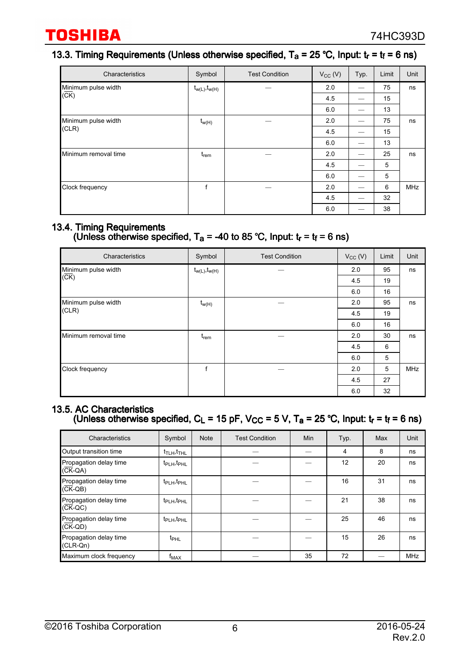# 13.3. Timing Requirements (Unless otherwise specified,  $T_a = 25$  °C, Input:  $t_r = t_f = 6$  ns)

| Characteristics      | Symbol               | <b>Test Condition</b> | $V_{CC}$ (V) | Typ. | Limit | Unit |
|----------------------|----------------------|-----------------------|--------------|------|-------|------|
| Minimum pulse width  | $t_{w(L)}, t_{w(H)}$ |                       | 2.0          |      | 75    | ns   |
| $(\overline{CK})$    |                      |                       | 4.5          | –    | 15    |      |
|                      |                      |                       | 6.0          |      | 13    |      |
| Minimum pulse width  | $t_{w(H)}$           |                       | 2.0          | --   | 75    | ns   |
| (CLR)                |                      |                       | 4.5          |      | 15    |      |
|                      |                      |                       | 6.0          |      | 13    |      |
| Minimum removal time | $t_{rem}$            |                       | 2.0          |      | 25    | ns   |
|                      |                      |                       | 4.5          | --   | 5     |      |
|                      |                      |                       | 6.0          |      | 5     |      |
| Clock frequency      | f                    |                       | 2.0          |      | 6     | MHz  |
|                      |                      |                       | 4.5          | --   | 32    |      |
|                      |                      |                       | 6.0          |      | 38    |      |

### 13.4. Timing Requirements

### (Unless otherwise specified,  $T_a$  = -40 to 85 °C, Input:  $t_r$  =  $t_f$  = 6 ns)

| Characteristics      | Symbol               | <b>Test Condition</b> | $V_{CC} (V)$ | Limit | Unit       |
|----------------------|----------------------|-----------------------|--------------|-------|------------|
| Minimum pulse width  | $t_{w(L)}, t_{w(H)}$ |                       | 2.0          | 95    | ns         |
| $(\overline{CK})$    |                      |                       | 4.5          | 19    |            |
|                      |                      |                       | 6.0          | 16    |            |
| Minimum pulse width  | $t_{w(H)}$           |                       | 2.0          | 95    | ns         |
| (CLR)                |                      |                       | 4.5          | 19    |            |
|                      |                      |                       | 6.0          | 16    |            |
| Minimum removal time | $t_{rem}$            |                       | 2.0          | 30    | ns         |
|                      |                      |                       | 4.5          | 6     |            |
|                      |                      |                       | 6.0          | 5     |            |
| Clock frequency      | f                    |                       | 2.0          | 5     | <b>MHz</b> |
|                      |                      |                       | 4.5          | 27    |            |
|                      |                      |                       | 6.0          | 32    |            |

### 13.5. AC Characteristics (Unless otherwise specified,  $C_L$  = 15 pF, V<sub>CC</sub> = 5 V, T<sub>a</sub> = 25 °C, Input:  $t_r$  =  $t_f$  = 6 ns)

| Characteristics                      | Symbol                              | <b>Note</b> | <b>Test Condition</b> | Min | Typ. | Max | Unit       |
|--------------------------------------|-------------------------------------|-------------|-----------------------|-----|------|-----|------------|
| Output transition time               | $t_{\text{TLH}}$ , $t_{\text{THL}}$ |             |                       |     | 4    | 8   | ns         |
| Propagation delay time<br>$(CK-QA)$  | t <sub>PLH</sub> , t <sub>PHL</sub> |             |                       |     | 12   | 20  | ns         |
| Propagation delay time<br>$(CK-QB)$  | t <sub>PLH</sub> , t <sub>PHL</sub> |             |                       |     | 16   | 31  | ns         |
| Propagation delay time<br>$(CK-QC)$  | t <sub>PLH</sub> , t <sub>PHL</sub> |             |                       |     | 21   | 38  | ns         |
| Propagation delay time<br>$(CK-QD)$  | t <sub>PLH</sub> , t <sub>PHL</sub> |             |                       |     | 25   | 46  | ns         |
| Propagation delay time<br>$(CLR-Qn)$ | $t_{\text{PHL}}$                    |             |                       |     | 15   | 26  | ns         |
| Maximum clock frequency              | $f_{MAX}$                           |             |                       | 35  | 72   |     | <b>MHz</b> |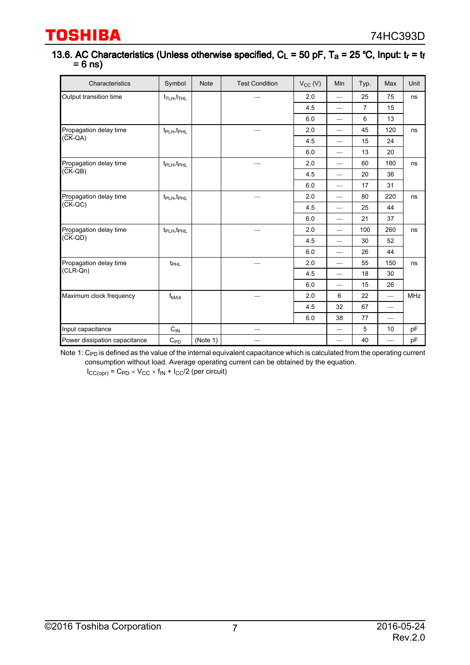#### 13.6. AC Characteristics (Unless otherwise specified,  $C_L$  = 50 pF, T<sub>a</sub> = 25 °C, Input:  $t_r$  =  $t_f$  $= 6$  ns)

| Characteristics               | Symbol                              | <b>Note</b> | <b>Test Condition</b> | $V_{CC} (V)$ | Min                      | Typ.           | Max                      | Unit       |    |  |
|-------------------------------|-------------------------------------|-------------|-----------------------|--------------|--------------------------|----------------|--------------------------|------------|----|--|
| Output transition time        | $t_{\text{TLH}}$ , $t_{\text{THL}}$ |             |                       | 2.0          | $\qquad \qquad$          | 25             | 75                       | ns         |    |  |
|                               |                                     |             |                       | 4.5          | $\equiv$                 | $\overline{7}$ | 15                       |            |    |  |
|                               |                                     |             |                       | 6.0          | $\overline{\phantom{0}}$ | 6              | 13                       |            |    |  |
| Propagation delay time        | t <sub>PLH</sub> , t <sub>PHL</sub> |             |                       | 2.0          | $\equiv$                 | 45             | 120                      | ns         |    |  |
| $(\overline{CK}-QA)$          |                                     |             |                       | 4.5          | $\overline{\phantom{0}}$ | 15             | 24                       |            |    |  |
|                               |                                     |             |                       | 6.0          | $\qquad \qquad$          | 13             | 20                       |            |    |  |
| Propagation delay time        | $t_{\rm PLH}, t_{\rm PHL}$          |             |                       | 2.0          |                          | 60             | 180                      | ns         |    |  |
| $(\overline{CK}-QB)$          |                                     |             |                       | 4.5          | $\overline{\phantom{0}}$ | 20             | 36                       |            |    |  |
|                               |                                     |             |                       | 6.0          | $\overline{\phantom{0}}$ | 17             | 31                       |            |    |  |
| Propagation delay time        | t <sub>PLH</sub> , t <sub>PHL</sub> |             |                       | 2.0          | $\equiv$                 | 80             | 220                      | ns         |    |  |
| $(\overline{CK}-QC)$          |                                     |             |                       | 4.5          | $\overline{\phantom{0}}$ | 25             | 44                       |            |    |  |
|                               |                                     |             |                       | 6.0          | $\overline{\phantom{0}}$ | 21             | 37                       |            |    |  |
| Propagation delay time        | t <sub>PLH</sub> , t <sub>PHL</sub> |             |                       | 2.0          | $\overline{\phantom{0}}$ | 100            | 260                      | ns         |    |  |
| $(\overline{CK}-QD)$          |                                     |             |                       | 4.5          | $\overline{\phantom{0}}$ | 30             | 52                       |            |    |  |
|                               |                                     |             |                       |              |                          | 6.0            | $\overline{\phantom{0}}$ | 26         | 44 |  |
| Propagation delay time        | t <sub>PHL</sub>                    |             |                       | 2.0          | $\overline{\phantom{0}}$ | 55             | 150                      | ns         |    |  |
| $(CLR-Qn)$                    |                                     |             |                       | 4.5          | $\overline{\phantom{0}}$ | 18             | 30                       |            |    |  |
|                               |                                     |             |                       | 6.0          | $\overline{\phantom{0}}$ | 15             | 26                       |            |    |  |
| Maximum clock frequency       | $f_{\mathsf{MAX}}$                  |             |                       | 2.0          | 6                        | 22             | $\overline{\phantom{0}}$ | <b>MHz</b> |    |  |
|                               |                                     |             |                       | 4.5          | 32                       | 67             | $\overline{\phantom{0}}$ |            |    |  |
|                               |                                     |             |                       | 6.0          | 38                       | 77             | $\overline{\phantom{0}}$ |            |    |  |
| Input capacitance             | $C_{IN}$                            |             |                       |              | $\overline{\phantom{0}}$ | 5              | 10                       | pF         |    |  |
| Power dissipation capacitance | $C_{PD}$                            | (Note 1)    |                       |              | $\overline{\phantom{0}}$ | 40             | $\overline{\phantom{0}}$ | pF         |    |  |

Note 1:  $\rm C_{PD}$  is defined as the value of the internal equivalent capacitance which is calculated from the operating current consumption without load. Average operating current can be obtained by the equation.

 $I_{CC(opr)}$  =  $C_{PD} \times V_{CC} \times f_{IN} + I_{CC}/2$  (per circuit)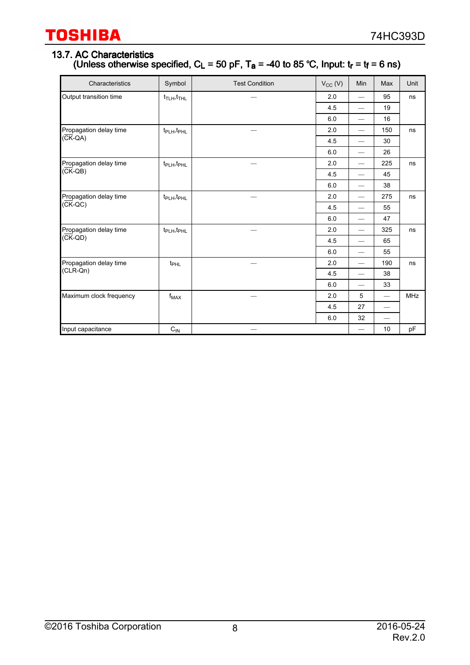### 13.7. AC Characteristics (Unless otherwise specified,  $C_L$  = 50 pF, T<sub>a</sub> = -40 to 85 °C, Input:  $t_r$  =  $t_f$  = 6 ns)

| Characteristics         | Symbol                                  | <b>Test Condition</b> | $V_{CC}$ (V) | Min                      | Max                      | Unit       |
|-------------------------|-----------------------------------------|-----------------------|--------------|--------------------------|--------------------------|------------|
| Output transition time  | $t$ <sub>TLH</sub> , $t$ <sub>THL</sub> |                       | 2.0          | $\overline{\phantom{0}}$ | 95                       | ns         |
|                         |                                         |                       | 4.5          |                          | 19                       |            |
|                         |                                         |                       | 6.0          | $\overline{\phantom{0}}$ | 16                       |            |
| Propagation delay time  | t <sub>PLH</sub> , t <sub>PHL</sub>     |                       | 2.0          | $\overline{\phantom{0}}$ | 150                      | ns         |
| $(\overline{CK}-QA)$    |                                         |                       | 4.5          | $\overline{\phantom{0}}$ | 30                       |            |
|                         |                                         |                       | 6.0          | $\overline{\phantom{0}}$ | 26                       |            |
| Propagation delay time  | t <sub>PLH</sub> , t <sub>PHL</sub>     |                       | 2.0          | $\qquad \qquad$          | 225                      | ns         |
| $(CK-QB)$               |                                         |                       | 4.5          | $\overline{\phantom{0}}$ | 45                       |            |
|                         |                                         |                       | 6.0          | $\overline{\phantom{0}}$ | 38                       |            |
| Propagation delay time  | t <sub>PLH</sub> , t <sub>PHL</sub>     |                       | 2.0          | $\overline{\phantom{0}}$ | 275                      | ns         |
| $(CK-QC)$               |                                         |                       | 4.5          | $\overline{\phantom{0}}$ | 55                       |            |
|                         |                                         |                       | 6.0          | $\qquad \qquad$          | 47                       |            |
| Propagation delay time  | t <sub>PLH</sub> , t <sub>PHL</sub>     |                       | 2.0          |                          | 325                      | ns         |
| $(\overline{CK}-QD)$    |                                         |                       | 4.5          | $\overline{\phantom{0}}$ | 65                       |            |
|                         |                                         |                       | 6.0          | $\overline{\phantom{0}}$ | 55                       |            |
| Propagation delay time  | $t_{\rm PHL}$                           |                       | 2.0          |                          | 190                      | ns         |
| $(CLR-Qn)$              |                                         |                       | 4.5          |                          | 38                       |            |
|                         |                                         |                       | 6.0          | $\qquad \qquad -$        | 33                       |            |
| Maximum clock frequency | $f_{MAX}$                               |                       | 2.0          | 5                        | $\qquad \qquad$          | <b>MHz</b> |
|                         |                                         |                       | 4.5          | 27                       | $\overline{\phantom{0}}$ |            |
|                         |                                         |                       | 6.0          | 32                       |                          |            |
| Input capacitance       | $C_{IN}$                                |                       |              |                          | 10                       | pF         |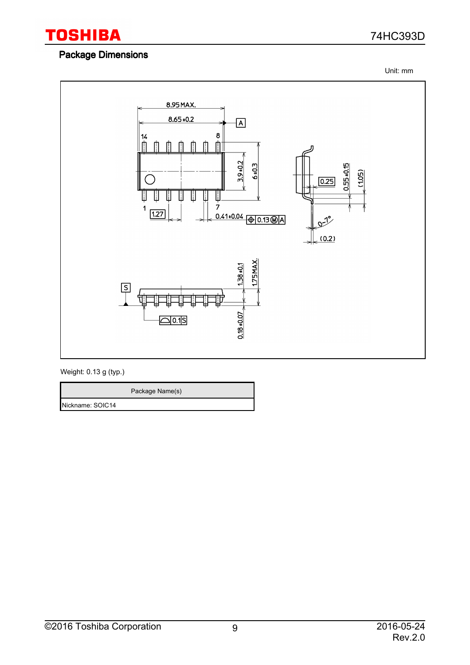

### Package Dimensions

74HC393D

Unit: mm



Weight: 0.13 g (typ.)

Package Name(s) Nickname: SOIC14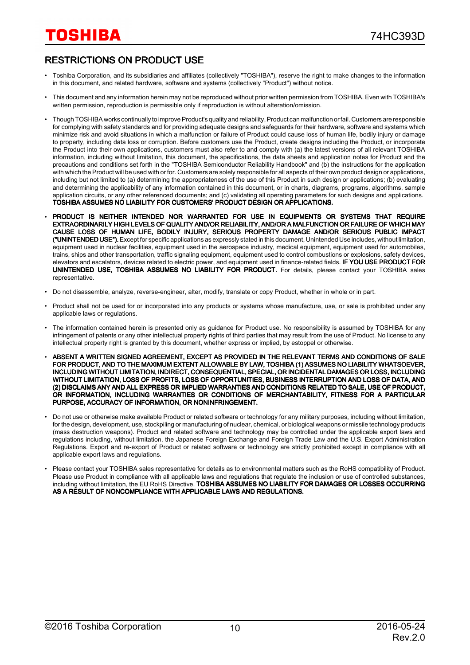# RESTRICTIONS ON PRODUCT USE

- Toshiba Corporation, and its subsidiaries and affiliates (collectively "TOSHIBA"), reserve the right to make changes to the information in this document, and related hardware, software and systems (collectively "Product") without notice.
- This document and any information herein may not be reproduced without prior written permission from TOSHIBA. Even with TOSHIBA's written permission, reproduction is permissible only if reproduction is without alteration/omission.
- Though TOSHIBA works continually to improve Product's quality and reliability, Product can malfunction or fail. Customers are responsible for complying with safety standards and for providing adequate designs and safeguards for their hardware, software and systems which minimize risk and avoid situations in which a malfunction or failure of Product could cause loss of human life, bodily injury or damage to property, including data loss or corruption. Before customers use the Product, create designs including the Product, or incorporate the Product into their own applications, customers must also refer to and comply with (a) the latest versions of all relevant TOSHIBA information, including without limitation, this document, the specifications, the data sheets and application notes for Product and the precautions and conditions set forth in the "TOSHIBA Semiconductor Reliability Handbook" and (b) the instructions for the application with which the Product will be used with or for. Customers are solely responsible for all aspects of their own product design or applications, including but not limited to (a) determining the appropriateness of the use of this Product in such design or applications; (b) evaluating and determining the applicability of any information contained in this document, or in charts, diagrams, programs, algorithms, sample application circuits, or any other referenced documents; and (c) validating all operating parameters for such designs and applications. TOSHIBA ASSUMES NO LIABILITY FOR CUSTOMERS' PRODUCT DESIGN OR APPLICATIONS.
- PRODUCT IS NEITHER INTENDED NOR WARRANTED FOR USE IN EQUIPMENTS OR SYSTEMS THAT REQUIRE EXTRAORDINARILY HIGH LEVELS OF QUALITY AND/OR RELIABILITY, AND/OR A MALFUNCTION OR FAILURE OF WHICH MAY CAUSE LOSS OF HUMAN LIFE, BODILY INJURY, SERIOUS PROPERTY DAMAGE AND/OR SERIOUS PUBLIC IMPACT ("UNINTENDED USE"). Except for specific applications as expressly stated in this document, Unintended Use includes, without limitation, equipment used in nuclear facilities, equipment used in the aerospace industry, medical equipment, equipment used for automobiles, trains, ships and other transportation, traffic signaling equipment, equipment used to control combustions or explosions, safety devices, elevators and escalators, devices related to electric power, and equipment used in finance-related fields. IF YOU USE PRODUCT FOR UNINTENDED USE, TOSHIBA ASSUMES NO LIABILITY FOR PRODUCT. For details, please contact your TOSHIBA sales representative.
- Do not disassemble, analyze, reverse-engineer, alter, modify, translate or copy Product, whether in whole or in part.
- Product shall not be used for or incorporated into any products or systems whose manufacture, use, or sale is prohibited under any applicable laws or regulations.
- The information contained herein is presented only as guidance for Product use. No responsibility is assumed by TOSHIBA for any infringement of patents or any other intellectual property rights of third parties that may result from the use of Product. No license to any intellectual property right is granted by this document, whether express or implied, by estoppel or otherwise.
- ABSENT A WRITTEN SIGNED AGREEMENT, EXCEPT AS PROVIDED IN THE RELEVANT TERMS AND CONDITIONS OF SALE FOR PRODUCT, AND TO THE MAXIMUM EXTENT ALLOWABLE BY LAW, TOSHIBA (1) ASSUMES NO LIABILITY WHATSOEVER, INCLUDING WITHOUT LIMITATION, INDIRECT, CONSEQUENTIAL, SPECIAL, OR INCIDENTAL DAMAGES OR LOSS, INCLUDING WITHOUT LIMITATION, LOSS OF PROFITS, LOSS OF OPPORTUNITIES, BUSINESS INTERRUPTION AND LOSS OF DATA, AND (2) DISCLAIMS ANY AND ALL EXPRESS OR IMPLIED WARRANTIES AND CONDITIONS RELATED TO SALE, USE OF PRODUCT, OR INFORMATION, INCLUDING WARRANTIES OR CONDITIONS OF MERCHANTABILITY, FITNESS FOR A PARTICULAR PURPOSE, ACCURACY OF INFORMATION, OR NONINFRINGEMENT.
- Do not use or otherwise make available Product or related software or technology for any military purposes, including without limitation, for the design, development, use, stockpiling or manufacturing of nuclear, chemical, or biological weapons or missile technology products (mass destruction weapons). Product and related software and technology may be controlled under the applicable export laws and regulations including, without limitation, the Japanese Foreign Exchange and Foreign Trade Law and the U.S. Export Administration Regulations. Export and re-export of Product or related software or technology are strictly prohibited except in compliance with all applicable export laws and regulations.
- Please contact your TOSHIBA sales representative for details as to environmental matters such as the RoHS compatibility of Product. Please use Product in compliance with all applicable laws and regulations that regulate the inclusion or use of controlled substances, including without limitation, the EU RoHS Directive. TOSHIBA ASSUMES NO LIABILITY FOR DAMAGES OR LOSSES OCCURRING AS A RESULT OF NONCOMPLIANCE WITH APPLICABLE LAWS AND REGULATIONS.